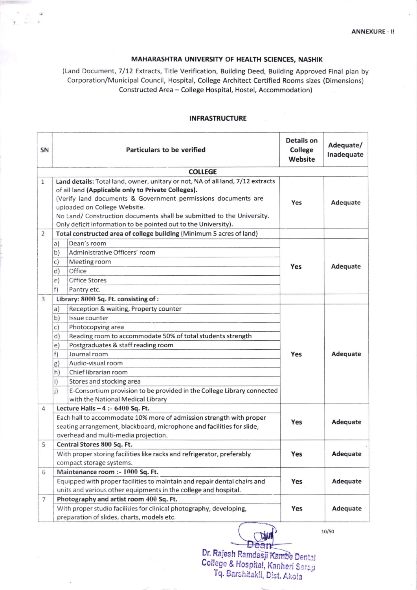## MAHARASHTRA UNIVERSITY OF HEALTH SCIENCES, NASHIK

(Land Document, 7/12 Extracts, Title Verification, Building Deed, Building Approved Final plan by Corporation/Municipal Council, Hospital, College Architect Certified Rooms sizes (Dimensions) Constructed Area - College Hospital, Hostel, Accommodation)

| SN           | Particulars to be verified                                                                                                                                                                                                                                                                                                                                                                                                                                              | <b>Details on</b><br>College<br>Website | Adequate/<br>Inadequate |
|--------------|-------------------------------------------------------------------------------------------------------------------------------------------------------------------------------------------------------------------------------------------------------------------------------------------------------------------------------------------------------------------------------------------------------------------------------------------------------------------------|-----------------------------------------|-------------------------|
|              | <b>COLLEGE</b>                                                                                                                                                                                                                                                                                                                                                                                                                                                          |                                         |                         |
| $\mathbf{1}$ | Land details: Total land, owner, unitary or not, NA of all land, 7/12 extracts<br>of ail land (Applicable only to Private Colleges).<br>(Verify land documents & Government permissions documents are<br>uploaded on College Website.<br>No Land/ Construction documents shall be submitted to the University.<br>Only deficit information to be pointed out to the University).                                                                                        | Yes                                     | Adequate                |
| 2            | Total constructed area of college building (Minimum 5 acres of land)                                                                                                                                                                                                                                                                                                                                                                                                    |                                         |                         |
|              | Dean's room<br>a)<br>Administrative Officers' room<br>b)<br>Meeting room<br>$\mathsf{C}$<br>Office<br>d)<br>Office Stores<br>e)<br>$f$ )<br>Pantry etc.                                                                                                                                                                                                                                                                                                                 | Yes                                     | Adequate                |
| 3            | Library: 8000 Sq. Ft. consisting of:                                                                                                                                                                                                                                                                                                                                                                                                                                    |                                         |                         |
|              | Reception & waiting, Property counter<br>a)<br>b)<br>Issue counter<br>$\mathsf{C}$<br>Photocopying area<br>Reading room to accommodate 50% of total students strength<br>d)<br>Postgraduates & staff reading room<br>e)<br>Journal room<br>f)<br>Audio-visual room<br>g)<br>Chief librarian room<br>h)<br>i)<br>Stores and stocking area<br>$\mathsf{i}$<br>E-Consortium provision to be provided in the College Library connected<br>with the National Medical Library | Yes                                     | Adequate                |
| 4            | Lecture Halls $-4$ :- 6400 Sq. Ft.<br>Each hall to accommodate 10% more of admission strength with proper<br>Yes<br>seating arrangement, blackboard, microphone and facilities for slide,<br>overhead and multi-media projection.                                                                                                                                                                                                                                       |                                         | Adequate                |
| 5            | Central Stores 800 Sq. Ft.<br>With proper storing facilities like racks and refrigerator, preferably<br>compact storage systems.                                                                                                                                                                                                                                                                                                                                        | Yes                                     | Adequate                |
| 6            | Maintenance room :- 1000 Sq. Ft.<br>Equipped with proper facilities to maintain and repair dental chairs and<br>units and various other equipments in the college and hospital.                                                                                                                                                                                                                                                                                         | Yes                                     | Adequate                |
| 7            | Photography and artist room 400 Sq. Ft.<br>With proper studio facilities for clinical photography, developing,<br>preparation of slides, charts, models etc.                                                                                                                                                                                                                                                                                                            |                                         | Adequate                |

## INFRASTRUCTURE

Dean Dr. Rajesh Ramdasji <del>Kamb</del>e Dental College & Hospital, Kanheri Sarap Tq. Earshitakii, Dist. Akolr

10/s0